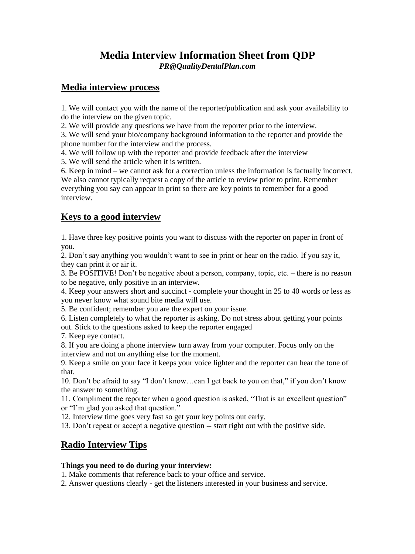## **Media Interview Information Sheet from QDP** *PR@QualityDentalPlan.com*

#### **Media interview process**

1. We will contact you with the name of the reporter/publication and ask your availability to do the interview on the given topic.

2. We will provide any questions we have from the reporter prior to the interview.

3. We will send your bio/company background information to the reporter and provide the phone number for the interview and the process.

4. We will follow up with the reporter and provide feedback after the interview

5. We will send the article when it is written.

6. Keep in mind – we cannot ask for a correction unless the information is factually incorrect. We also cannot typically request a copy of the article to review prior to print. Remember everything you say can appear in print so there are key points to remember for a good interview.

# **Keys to a good interview**

1. Have three key positive points you want to discuss with the reporter on paper in front of you.

2. Don't say anything you wouldn't want to see in print or hear on the radio. If you say it, they can print it or air it.

3. Be POSITIVE! Don't be negative about a person, company, topic, etc. – there is no reason to be negative, only positive in an interview.

4. Keep your answers short and succinct - complete your thought in 25 to 40 words or less as you never know what sound bite media will use.

5. Be confident; remember you are the expert on your issue.

6. Listen completely to what the reporter is asking. Do not stress about getting your points out. Stick to the questions asked to keep the reporter engaged

7. Keep eye contact.

8. If you are doing a phone interview turn away from your computer. Focus only on the interview and not on anything else for the moment.

9. Keep a smile on your face it keeps your voice lighter and the reporter can hear the tone of that.

10. Don't be afraid to say "I don't know…can I get back to you on that," if you don't know the answer to something.

11. Compliment the reporter when a good question is asked, "That is an excellent question" or "I'm glad you asked that question."

12. Interview time goes very fast so get your key points out early.

13. Don't repeat or accept a negative question **--** start right out with the positive side.

# **Radio Interview Tips**

#### **Things you need to do during your interview:**

1. Make comments that reference back to your office and service.

2. Answer questions clearly - get the listeners interested in your business and service.